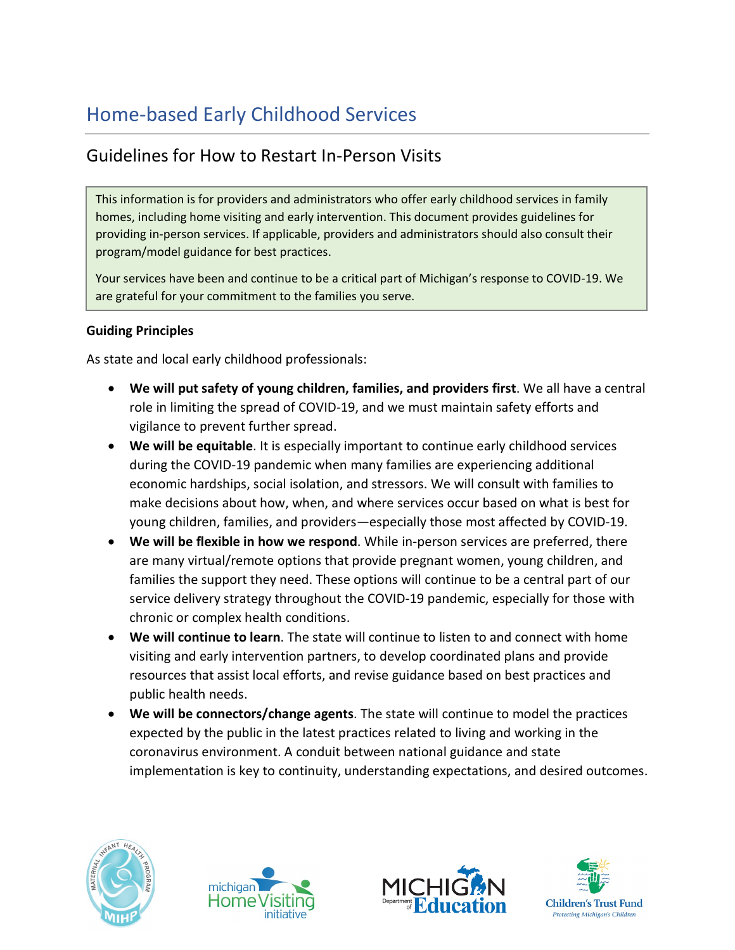# Home-based Early Childhood Services

# Guidelines for How to Restart In-Person Visits

This information is for providers and administrators who offer early childhood services in family homes, including home visiting and early intervention. This document provides guidelines for providing in-person services. If applicable, providers and administrators should also consult their program/model guidance for best practices.

Your services have been and continue to be a critical part of Michigan's response to COVID-19. We are grateful for your commitment to the families you serve.

#### **Guiding Principles**

As state and local early childhood professionals:

- **We will put safety of young children, families, and providers first**. We all have a central role in limiting the spread of COVID-19, and we must maintain safety efforts and vigilance to prevent further spread.
- **We will be equitable**. It is especially important to continue early childhood services during the COVID-19 pandemic when many families are experiencing additional economic hardships, social isolation, and stressors. We will consult with families to make decisions about how, when, and where services occur based on what is best for young children, families, and providers—especially those most affected by COVID-19.
- **We will be flexible in how we respond**. While in-person services are preferred, there are many virtual/remote options that provide pregnant women, young children, and families the support they need. These options will continue to be a central part of our service delivery strategy throughout the COVID-19 pandemic, especially for those with chronic or complex health conditions.
- **We will continue to learn**. The state will continue to listen to and connect with home visiting and early intervention partners, to develop coordinated plans and provide resources that assist local efforts, and revise guidance based on best practices and public health needs.
- **We will be connectors/change agents**. The state will continue to model the practices expected by the public in the latest practices related to living and working in the coronavirus environment. A conduit between national guidance and state implementation is key to continuity, understanding expectations, and desired outcomes.







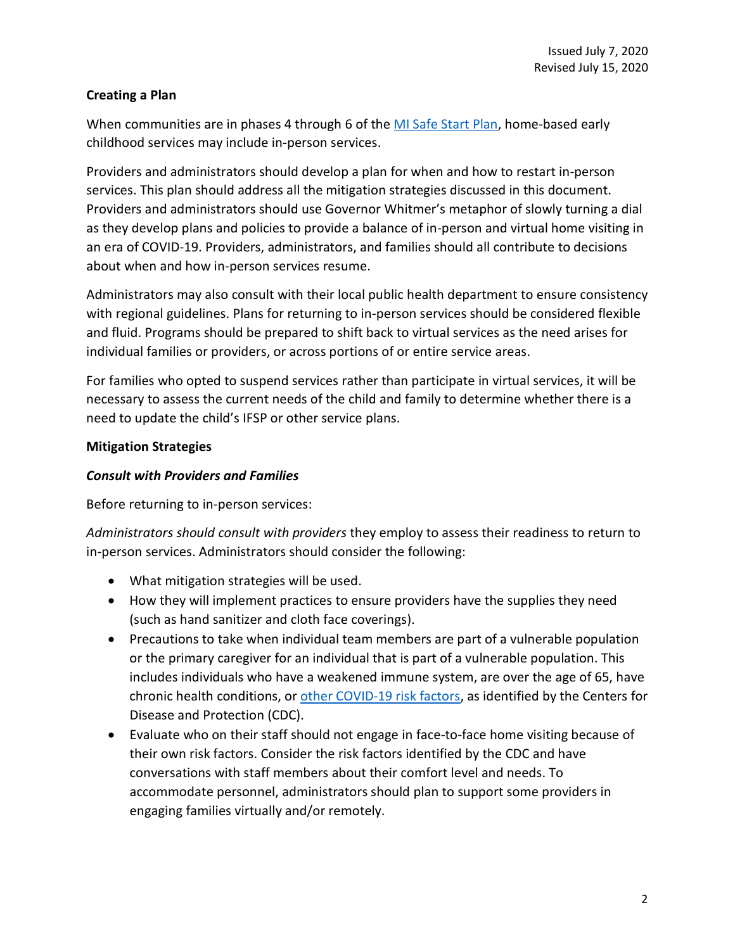#### **Creating a Plan**

When communities are in phases 4 through 6 of the [MI Safe Start Plan,](https://www.michigan.gov/documents/whitmer/MI_SAFE_START_PLAN_689875_7.pdf) home-based early childhood services may include in-person services.

Providers and administrators should develop a plan for when and how to restart in-person services. This plan should address all the mitigation strategies discussed in this document. Providers and administrators should use Governor Whitmer's metaphor of slowly turning a dial as they develop plans and policies to provide a balance of in-person and virtual home visiting in an era of COVID-19. Providers, administrators, and families should all contribute to decisions about when and how in-person services resume.

Administrators may also consult with their local public health department to ensure consistency with regional guidelines. Plans for returning to in-person services should be considered flexible and fluid. Programs should be prepared to shift back to virtual services as the need arises for individual families or providers, or across portions of or entire service areas.

For families who opted to suspend services rather than participate in virtual services, it will be necessary to assess the current needs of the child and family to determine whether there is a need to update the child's IFSP or other service plans.

#### **Mitigation Strategies**

#### *Consult with Providers and Families*

Before returning to in-person services:

*Administrators should consult with providers* they employ to assess their readiness to return to in-person services. Administrators should consider the following:

- What mitigation strategies will be used.
- How they will implement practices to ensure providers have the supplies they need (such as hand sanitizer and cloth face coverings).
- Precautions to take when individual team members are part of a vulnerable population or the primary caregiver for an individual that is part of a vulnerable population. This includes individuals who have a weakened immune system, are over the age of 65, have chronic health conditions, or [other COVID-19 risk factors,](https://www.cdc.gov/coronavirus/2019-ncov/need-extra-precautions/people-at-higher-risk.html?CDC_AA_refVal=https%3A%2F%2Fwww.cdc.gov%2Fcoronavirus%2F2019-ncov%2Fspecific-groups%2Fhigh-risk-complications.html) as identified by the Centers for Disease and Protection (CDC).
- Evaluate who on their staff should not engage in face-to-face home visiting because of their own risk factors. Consider the risk factors identified by the CDC and have conversations with staff members about their comfort level and needs. To accommodate personnel, administrators should plan to support some providers in engaging families virtually and/or remotely.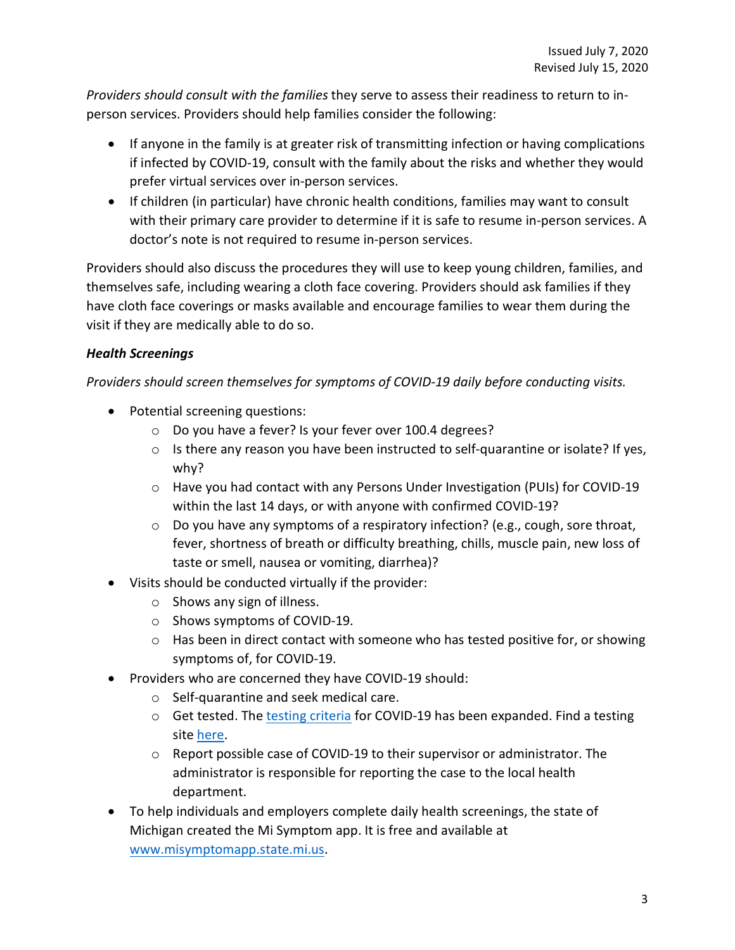*Providers should consult with the families* they serve to assess their readiness to return to inperson services. Providers should help families consider the following:

- If anyone in the family is at greater risk of transmitting infection or having complications if infected by COVID-19, consult with the family about the risks and whether they would prefer virtual services over in-person services.
- If children (in particular) have chronic health conditions, families may want to consult with their primary care provider to determine if it is safe to resume in-person services. A doctor's note is not required to resume in-person services.

Providers should also discuss the procedures they will use to keep young children, families, and themselves safe, including wearing a cloth face covering. Providers should ask families if they have cloth face coverings or masks available and encourage families to wear them during the visit if they are medically able to do so.

# *Health Screenings*

*Providers should screen themselves for symptoms of COVID-19 daily before conducting visits.*

- Potential screening questions:
	- o Do you have a fever? Is your fever over 100.4 degrees?
	- o Is there any reason you have been instructed to self-quarantine or isolate? If yes, why?
	- o Have you had contact with any Persons Under Investigation (PUIs) for COVID-19 within the last 14 days, or with anyone with confirmed COVID-19?
	- o Do you have any symptoms of a respiratory infection? (e.g., cough, sore throat, fever, shortness of breath or difficulty breathing, chills, muscle pain, new loss of taste or smell, nausea or vomiting, diarrhea)?
- Visits should be conducted virtually if the provider:
	- o Shows any sign of illness.
	- o Shows symptoms of COVID-19.
	- o Has been in direct contact with someone who has tested positive for, or showing symptoms of, for COVID-19.
- Providers who are concerned they have COVID-19 should:
	- o Self-quarantine and seek medical care.
	- o Get tested. The [testing criteria](https://www.michigan.gov/coronavirus/0,9753,7-406-98163-530157--,00.html) for COVID-19 has been expanded. Find a testing site [here.](https://www.michigan.gov/coronavirus/0,9753,7-406-99891_99912---,00.html)
	- $\circ$  Report possible case of COVID-19 to their supervisor or administrator. The administrator is responsible for reporting the case to the local health department.
- To help individuals and employers complete daily health screenings, the state of Michigan created the Mi Symptom app. It is free and available at [www.misymptomapp.state.mi.us.](https://misymptomapp.state.mi.us/)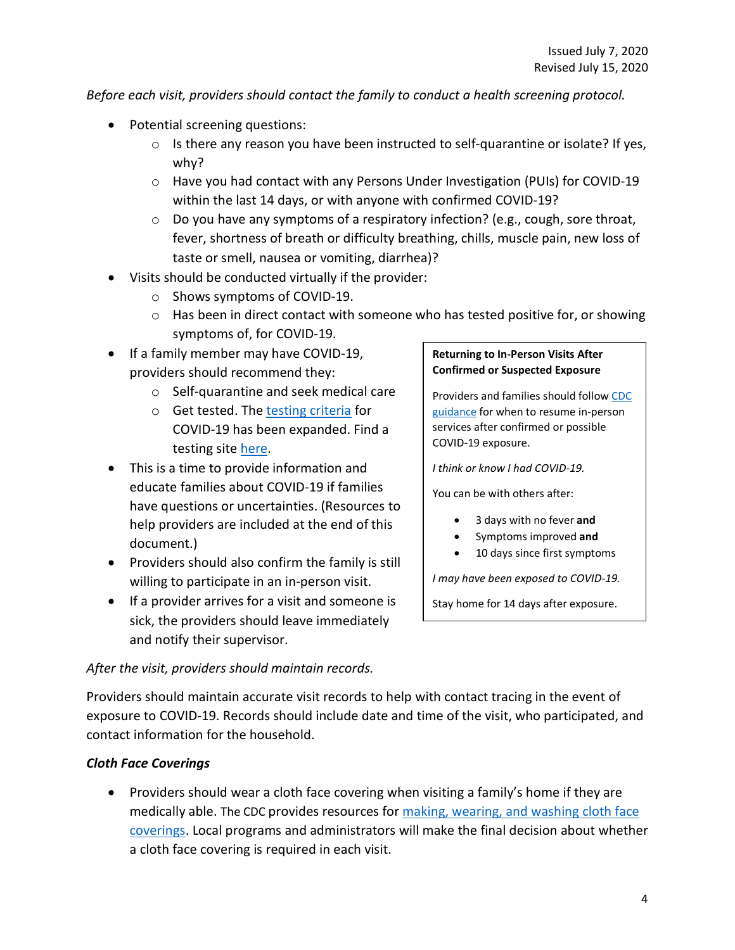*Before each visit, providers should contact the family to conduct a health screening protocol.*

- Potential screening questions:
	- $\circ$  Is there any reason you have been instructed to self-quarantine or isolate? If yes, why?
	- o Have you had contact with any Persons Under Investigation (PUIs) for COVID-19 within the last 14 days, or with anyone with confirmed COVID-19?
	- $\circ$  Do you have any symptoms of a respiratory infection? (e.g., cough, sore throat, fever, shortness of breath or difficulty breathing, chills, muscle pain, new loss of taste or smell, nausea or vomiting, diarrhea)?
- Visits should be conducted virtually if the provider:
	- o Shows symptoms of COVID-19.
	- o Has been in direct contact with someone who has tested positive for, or showing symptoms of, for COVID-19.
- If a family member may have COVID-19, providers should recommend they:
	- o Self-quarantine and seek medical care
	- o Get tested. The [testing criteria](https://www.michigan.gov/coronavirus/0,9753,7-406-98163-530157--,00.html) for COVID-19 has been expanded. Find a testing site [here.](https://www.michigan.gov/coronavirus/0,9753,7-406-99891_99912---,00.html)
- This is a time to provide information and educate families about COVID-19 if families have questions or uncertainties. (Resources to help providers are included at the end of this document.)
- Providers should also confirm the family is still willing to participate in an in-person visit.
- If a provider arrives for a visit and someone is sick, the providers should leave immediately and notify their supervisor.

#### **Returning to In-Person Visits After Confirmed or Suspected Exposure**

Providers and families should follo[w CDC](https://www.cdc.gov/coronavirus/2019-ncov/if-you-are-sick/end-home-isolation.html?CDC_AA_refVal=https%3A%2F%2Fwww.cdc.gov%2Fcoronavirus%2F2019-ncov%2Fprevent-getting-sick%2Fwhen-its-safe.html)  [guidance](https://www.cdc.gov/coronavirus/2019-ncov/if-you-are-sick/end-home-isolation.html?CDC_AA_refVal=https%3A%2F%2Fwww.cdc.gov%2Fcoronavirus%2F2019-ncov%2Fprevent-getting-sick%2Fwhen-its-safe.html) for when to resume in-person services after confirmed or possible COVID-19 exposure.

*I think or know I had COVID-19.*

You can be with others after:

- 3 days with no fever **and**
- Symptoms improved **and**
- 10 days since first symptoms

*I may have been exposed to COVID-19.*

Stay home for 14 days after exposure.

#### *After the visit, providers should maintain records.*

Providers should maintain accurate visit records to help with contact tracing in the event of exposure to COVID-19. Records should include date and time of the visit, who participated, and contact information for the household.

#### *Cloth Face Coverings*

• Providers should wear a cloth face covering when visiting a family's home if they are medically able. The CDC provides resources for making, wearing, and washing cloth face [coverings.](https://www.cdc.gov/coronavirus/2019-ncov/prevent-getting-sick/diy-cloth-face-coverings.html) Local programs and administrators will make the final decision about whether a cloth face covering is required in each visit.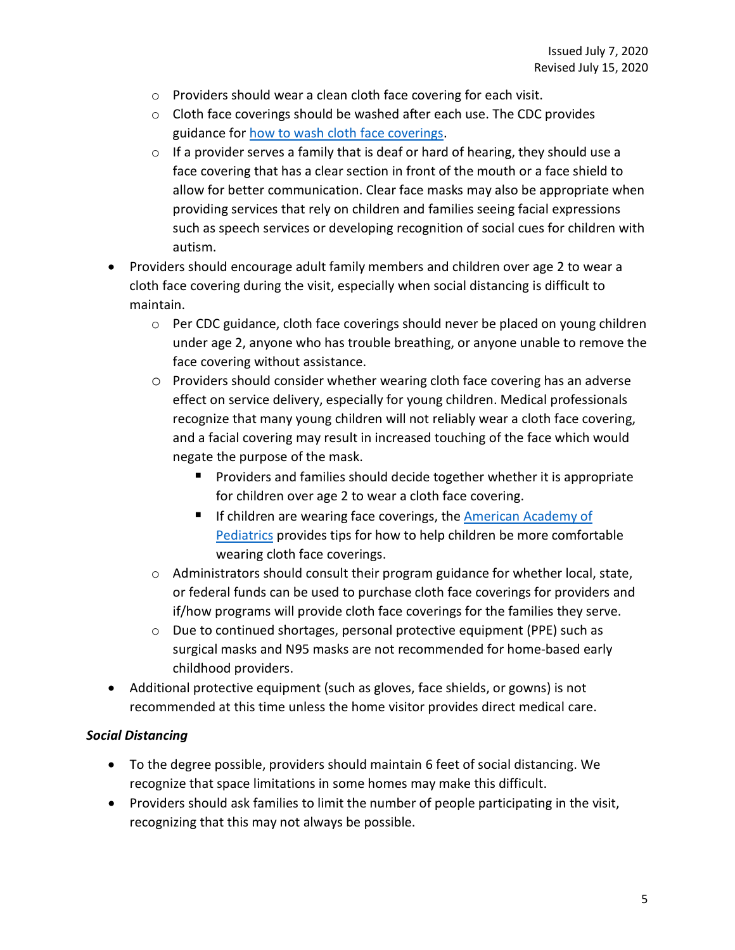- o Providers should wear a clean cloth face covering for each visit.
- o Cloth face coverings should be washed after each use. The CDC provides guidance fo[r how to wash cloth face coverings.](https://www.cdc.gov/coronavirus/2019-ncov/prevent-getting-sick/how-to-wash-cloth-face-coverings.html)
- o If a provider serves a family that is deaf or hard of hearing, they should use a face covering that has a clear section in front of the mouth or a face shield to allow for better communication. Clear face masks may also be appropriate when providing services that rely on children and families seeing facial expressions such as speech services or developing recognition of social cues for children with autism.
- Providers should encourage adult family members and children over age 2 to wear a cloth face covering during the visit, especially when social distancing is difficult to maintain.
	- $\circ$  Per CDC guidance, cloth face coverings should never be placed on young children under age 2, anyone who has trouble breathing, or anyone unable to remove the face covering without assistance.
	- o Providers should consider whether wearing cloth face covering has an adverse effect on service delivery, especially for young children. Medical professionals recognize that many young children will not reliably wear a cloth face covering, and a facial covering may result in increased touching of the face which would negate the purpose of the mask.
		- **Providers and families should decide together whether it is appropriate** for children over age 2 to wear a cloth face covering.
		- If children are wearing face coverings, the American Academy of [Pediatrics](https://www.healthychildren.org/English/health-issues/conditions/chest-lungs/Pages/Cloth-Face-Coverings-for-Children-During-COVID-19.aspx) provides tips for how to help children be more comfortable wearing cloth face coverings.
	- o Administrators should consult their program guidance for whether local, state, or federal funds can be used to purchase cloth face coverings for providers and if/how programs will provide cloth face coverings for the families they serve.
	- o Due to continued shortages, personal protective equipment (PPE) such as surgical masks and N95 masks are not recommended for home-based early childhood providers.
- Additional protective equipment (such as gloves, face shields, or gowns) is not recommended at this time unless the home visitor provides direct medical care.

#### *Social Distancing*

- To the degree possible, providers should maintain 6 feet of social distancing. We recognize that space limitations in some homes may make this difficult.
- Providers should ask families to limit the number of people participating in the visit, recognizing that this may not always be possible.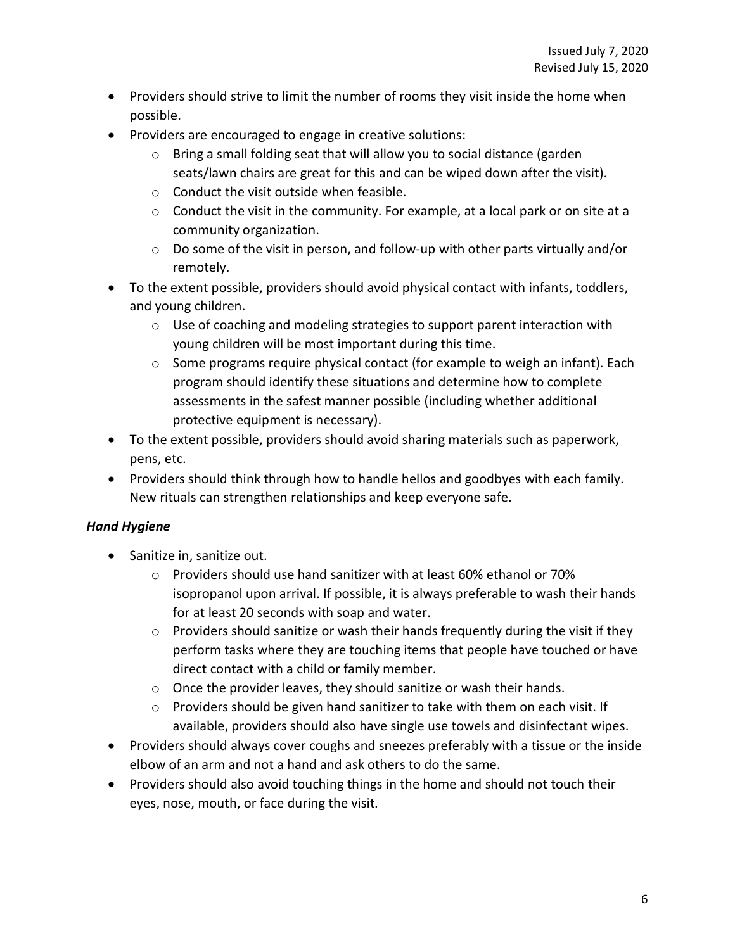- Providers should strive to limit the number of rooms they visit inside the home when possible.
- Providers are encouraged to engage in creative solutions:
	- o Bring a small folding seat that will allow you to social distance (garden seats/lawn chairs are great for this and can be wiped down after the visit).
	- o Conduct the visit outside when feasible.
	- o Conduct the visit in the community. For example, at a local park or on site at a community organization.
	- o Do some of the visit in person, and follow-up with other parts virtually and/or remotely.
- To the extent possible, providers should avoid physical contact with infants, toddlers, and young children.
	- $\circ$  Use of coaching and modeling strategies to support parent interaction with young children will be most important during this time.
	- $\circ$  Some programs require physical contact (for example to weigh an infant). Each program should identify these situations and determine how to complete assessments in the safest manner possible (including whether additional protective equipment is necessary).
- To the extent possible, providers should avoid sharing materials such as paperwork, pens, etc.
- Providers should think through how to handle hellos and goodbyes with each family. New rituals can strengthen relationships and keep everyone safe.

#### *Hand Hygiene*

- Sanitize in, sanitize out.
	- o Providers should use hand sanitizer with at least 60% ethanol or 70% isopropanol upon arrival. If possible, it is always preferable to wash their hands for at least 20 seconds with soap and water.
	- o Providers should sanitize or wash their hands frequently during the visit if they perform tasks where they are touching items that people have touched or have direct contact with a child or family member.
	- o Once the provider leaves, they should sanitize or wash their hands.
	- o Providers should be given hand sanitizer to take with them on each visit. If available, providers should also have single use towels and disinfectant wipes.
- Providers should always cover coughs and sneezes preferably with a tissue or the inside elbow of an arm and not a hand and ask others to do the same.
- Providers should also avoid touching things in the home and should not touch their eyes, nose, mouth, or face during the visit.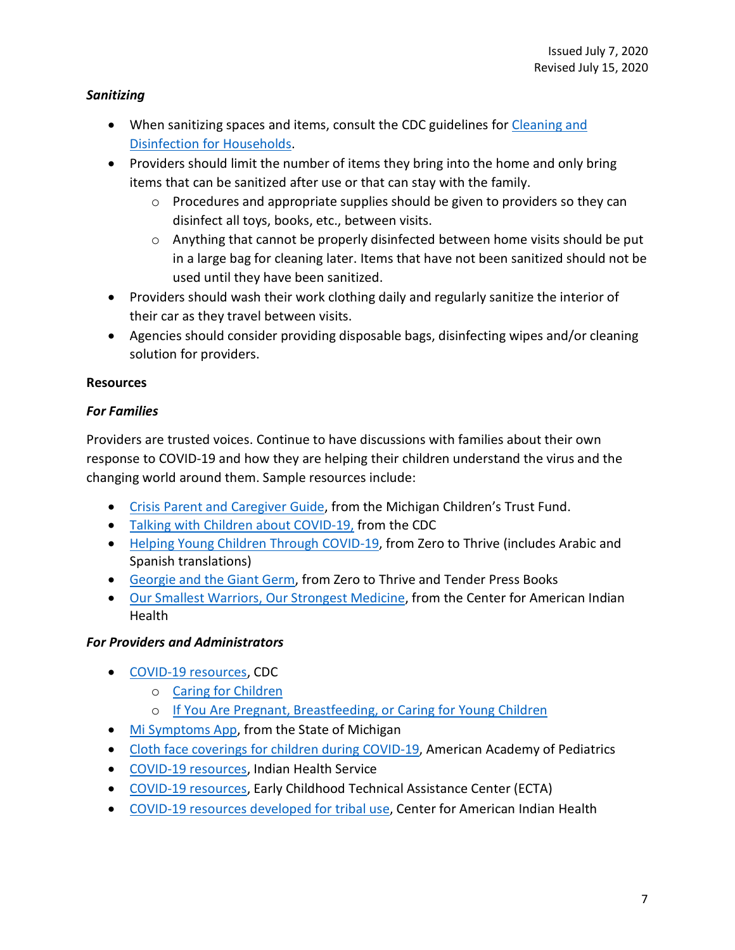#### *Sanitizing*

- When sanitizing spaces and items, consult the CDC guidelines for Cleaning and [Disinfection for Households.](https://www.cdc.gov/coronavirus/2019-nCoV/index.html)
- Providers should limit the number of items they bring into the home and only bring items that can be sanitized after use or that can stay with the family.
	- o Procedures and appropriate supplies should be given to providers so they can disinfect all toys, books, etc., between visits.
	- $\circ$  Anything that cannot be properly disinfected between home visits should be put in a large bag for cleaning later. Items that have not been sanitized should not be used until they have been sanitized.
- Providers should wash their work clothing daily and regularly sanitize the interior of their car as they travel between visits.
- Agencies should consider providing disposable bags, disinfecting wipes and/or cleaning solution for providers.

## **Resources**

## *For Families*

Providers are trusted voices. Continue to have discussions with families about their own response to COVID-19 and how they are helping their children understand the virus and the changing world around them. Sample resources include:

- [Crisis Parent and Caregiver Guide,](https://www.michigan.gov/documents/ctf/CTF_Parent_Guide_687268_7.pdf) from the Michigan Children's Trust Fund.
- [Talking with Children about COVID-19,](https://www.cdc.gov/coronavirus/2019-ncov/daily-life-coping/talking-with-children.html) from the CDC
- [Helping Young Children Through COVID-19,](https://zerotothrive.org/covid-19/covid-19-kids/) from Zero to Thrive (includes Arabic and Spanish translations)
- [Georgie and the Giant Germ,](https://zerotothrive.org/covid-19/covid-19-kids/) from Zero to Thrive and Tender Press Books
- [Our Smallest Warriors, Our Strongest Medicine,](https://caih.jhu.edu/programs/strongmedicine) from the Center for American Indian **Health**

#### *For Providers and Administrators*

- [COVID-19 resources,](https://www.cdc.gov/coronavirus/2019-nCoV/index.html) CDC
	- o [Caring for Children](https://www.cdc.gov/coronavirus/2019-ncov/daily-life-coping/caring-for-children.html)
	- o [If You Are Pregnant, Breastfeeding, or Caring for Young Children](https://www.cdc.gov/coronavirus/2019-ncov/need-extra-precautions/pregnancy-breastfeeding.html)
- [Mi Symptoms App,](https://misymptomapp.state.mi.us/) from the State of Michigan
- [Cloth face coverings for children during COVID-19,](https://www.healthychildren.org/English/health-issues/conditions/chest-lungs/Pages/Cloth-Face-Coverings-for-Children-During-COVID-19.aspx) American Academy of Pediatrics
- [COVID-19 resources,](https://www.ihs.gov/coronavirus/resources/) Indian Health Service
- [COVID-19 resources,](https://ectacenter.org/topics/disaster/coronavirus.asp) Early Childhood Technical Assistance Center (ECTA)
- [COVID-19 resources developed for tribal use,](https://caih.jhu.edu/news/covid19) Center for American Indian Health